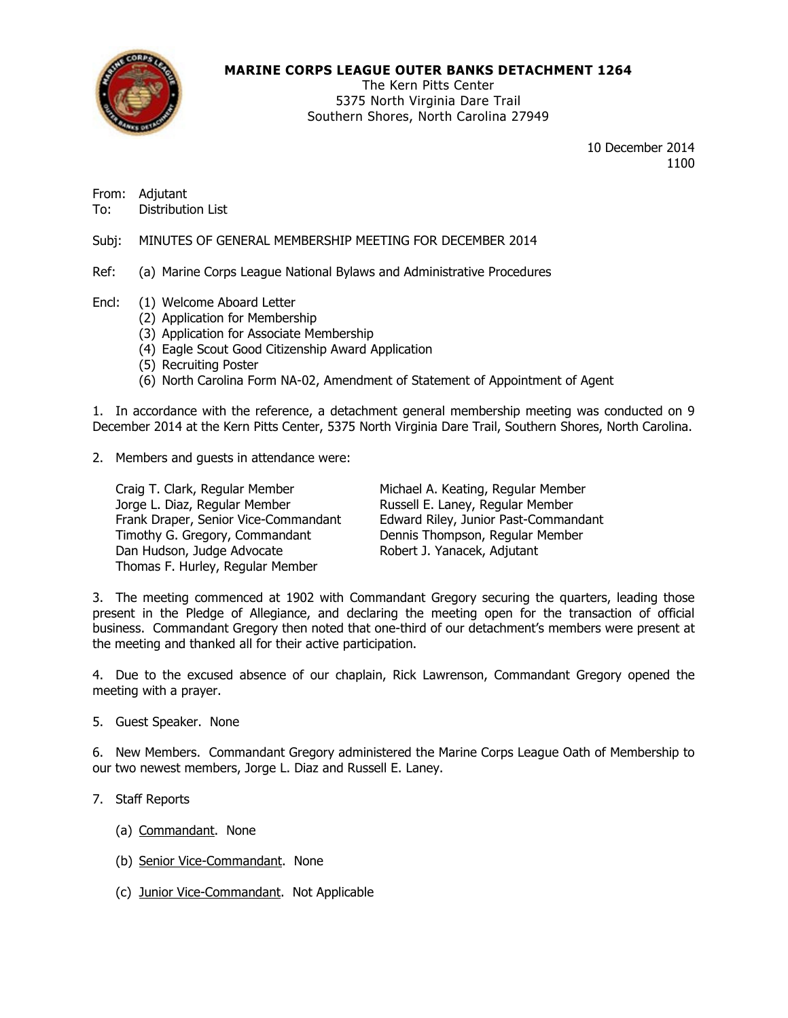

## MARINE CORPS LEAGUE OUTER BANKS DETACHMENT 1264

The Kern Pitts Center 5375 North Virginia Dare Trail Southern Shores, North Carolina 27949

> 10 December 2014 1100

- From: Adjutant
- To: Distribution List

Subj: MINUTES OF GENERAL MEMBERSHIP MEETING FOR DECEMBER 2014

- Ref: (a) Marine Corps League National Bylaws and Administrative Procedures
- Encl: (1) Welcome Aboard Letter
	- (2) Application for Membership
	- (3) Application for Associate Membership
	- (4) Eagle Scout Good Citizenship Award Application
	- (5) Recruiting Poster
	- (6) North Carolina Form NA-02, Amendment of Statement of Appointment of Agent

1. In accordance with the reference, a detachment general membership meeting was conducted on 9 December 2014 at the Kern Pitts Center, 5375 North Virginia Dare Trail, Southern Shores, North Carolina.

2. Members and guests in attendance were:

Craig T. Clark, Regular Member Michael A. Keating, Regular Member Jorge L. Diaz, Regular Member Russell E. Laney, Regular Member Frank Draper, Senior Vice-Commandant Edward Riley, Junior Past-Commandant Timothy G. Gregory, Commandant Dennis Thompson, Regular Member Dan Hudson, Judge Advocate Robert J. Yanacek, Adjutant Thomas F. Hurley, Regular Member

3. The meeting commenced at 1902 with Commandant Gregory securing the quarters, leading those present in the Pledge of Allegiance, and declaring the meeting open for the transaction of official business. Commandant Gregory then noted that one-third of our detachment's members were present at the meeting and thanked all for their active participation.

4. Due to the excused absence of our chaplain, Rick Lawrenson, Commandant Gregory opened the meeting with a prayer.

5. Guest Speaker. None

6. New Members. Commandant Gregory administered the Marine Corps League Oath of Membership to our two newest members, Jorge L. Diaz and Russell E. Laney.

- 7. Staff Reports
	- (a) Commandant. None
	- (b) Senior Vice-Commandant. None
	- (c) Junior Vice-Commandant. Not Applicable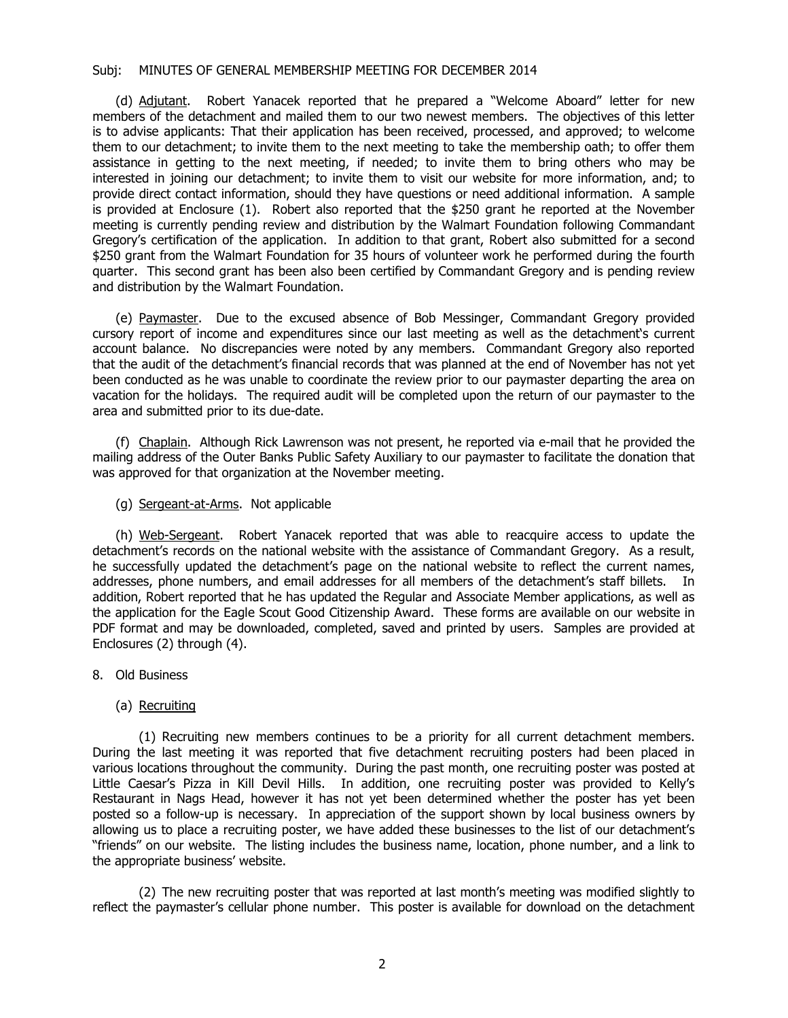## Subj: MINUTES OF GENERAL MEMBERSHIP MEETING FOR DECEMBER 2014

 (d) Adjutant. Robert Yanacek reported that he prepared a "Welcome Aboard" letter for new members of the detachment and mailed them to our two newest members. The objectives of this letter is to advise applicants: That their application has been received, processed, and approved; to welcome them to our detachment; to invite them to the next meeting to take the membership oath; to offer them assistance in getting to the next meeting, if needed; to invite them to bring others who may be interested in joining our detachment; to invite them to visit our website for more information, and; to provide direct contact information, should they have questions or need additional information. A sample is provided at Enclosure (1). Robert also reported that the \$250 grant he reported at the November meeting is currently pending review and distribution by the Walmart Foundation following Commandant Gregory's certification of the application. In addition to that grant, Robert also submitted for a second \$250 grant from the Walmart Foundation for 35 hours of volunteer work he performed during the fourth quarter. This second grant has been also been certified by Commandant Gregory and is pending review and distribution by the Walmart Foundation.

 (e) Paymaster. Due to the excused absence of Bob Messinger, Commandant Gregory provided cursory report of income and expenditures since our last meeting as well as the detachment's current account balance. No discrepancies were noted by any members. Commandant Gregory also reported that the audit of the detachment's financial records that was planned at the end of November has not yet been conducted as he was unable to coordinate the review prior to our paymaster departing the area on vacation for the holidays. The required audit will be completed upon the return of our paymaster to the area and submitted prior to its due-date.

 (f) Chaplain. Although Rick Lawrenson was not present, he reported via e-mail that he provided the mailing address of the Outer Banks Public Safety Auxiliary to our paymaster to facilitate the donation that was approved for that organization at the November meeting.

(g) Sergeant-at-Arms. Not applicable

 (h) Web-Sergeant. Robert Yanacek reported that was able to reacquire access to update the detachment's records on the national website with the assistance of Commandant Gregory. As a result, he successfully updated the detachment's page on the national website to reflect the current names, addresses, phone numbers, and email addresses for all members of the detachment's staff billets. In addition, Robert reported that he has updated the Regular and Associate Member applications, as well as the application for the Eagle Scout Good Citizenship Award. These forms are available on our website in PDF format and may be downloaded, completed, saved and printed by users. Samples are provided at Enclosures (2) through (4).

- 8. Old Business
	- (a) Recruiting

 (1) Recruiting new members continues to be a priority for all current detachment members. During the last meeting it was reported that five detachment recruiting posters had been placed in various locations throughout the community. During the past month, one recruiting poster was posted at Little Caesar's Pizza in Kill Devil Hills. In addition, one recruiting poster was provided to Kelly's Restaurant in Nags Head, however it has not yet been determined whether the poster has yet been posted so a follow-up is necessary. In appreciation of the support shown by local business owners by allowing us to place a recruiting poster, we have added these businesses to the list of our detachment's "friends" on our website. The listing includes the business name, location, phone number, and a link to the appropriate business' website.

 (2) The new recruiting poster that was reported at last month's meeting was modified slightly to reflect the paymaster's cellular phone number. This poster is available for download on the detachment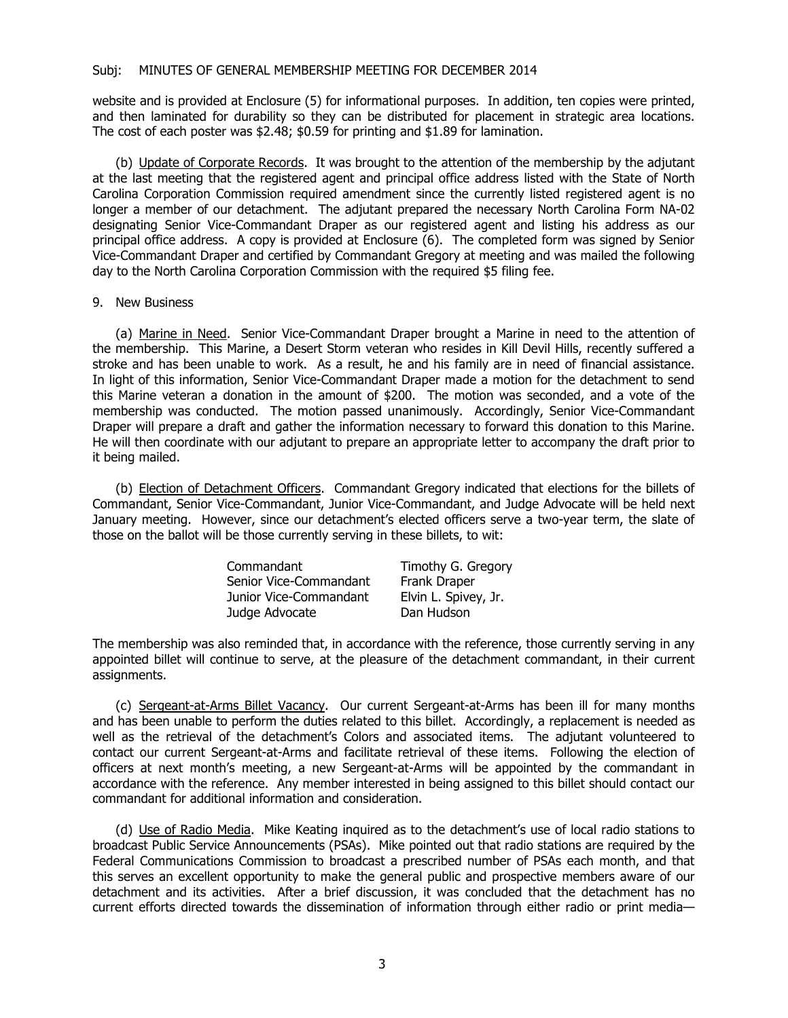website and is provided at Enclosure (5) for informational purposes. In addition, ten copies were printed, and then laminated for durability so they can be distributed for placement in strategic area locations. The cost of each poster was \$2.48; \$0.59 for printing and \$1.89 for lamination.

 (b) Update of Corporate Records. It was brought to the attention of the membership by the adjutant at the last meeting that the registered agent and principal office address listed with the State of North Carolina Corporation Commission required amendment since the currently listed registered agent is no longer a member of our detachment. The adjutant prepared the necessary North Carolina Form NA-02 designating Senior Vice-Commandant Draper as our registered agent and listing his address as our principal office address. A copy is provided at Enclosure (6). The completed form was signed by Senior Vice-Commandant Draper and certified by Commandant Gregory at meeting and was mailed the following day to the North Carolina Corporation Commission with the required \$5 filing fee.

#### 9. New Business

(a) Marine in Need. Senior Vice-Commandant Draper brought a Marine in need to the attention of the membership. This Marine, a Desert Storm veteran who resides in Kill Devil Hills, recently suffered a stroke and has been unable to work. As a result, he and his family are in need of financial assistance. In light of this information, Senior Vice-Commandant Draper made a motion for the detachment to send this Marine veteran a donation in the amount of \$200. The motion was seconded, and a vote of the membership was conducted. The motion passed unanimously. Accordingly, Senior Vice-Commandant Draper will prepare a draft and gather the information necessary to forward this donation to this Marine. He will then coordinate with our adjutant to prepare an appropriate letter to accompany the draft prior to it being mailed.

 (b) Election of Detachment Officers. Commandant Gregory indicated that elections for the billets of Commandant, Senior Vice-Commandant, Junior Vice-Commandant, and Judge Advocate will be held next January meeting. However, since our detachment's elected officers serve a two-year term, the slate of those on the ballot will be those currently serving in these billets, to wit:

| Commandant             | Timothy G. Gregory   |
|------------------------|----------------------|
| Senior Vice-Commandant | Frank Draper         |
| Junior Vice-Commandant | Elvin L. Spivey, Jr. |
| Judge Advocate         | Dan Hudson           |

The membership was also reminded that, in accordance with the reference, those currently serving in any appointed billet will continue to serve, at the pleasure of the detachment commandant, in their current assignments.

 (c) Sergeant-at-Arms Billet Vacancy. Our current Sergeant-at-Arms has been ill for many months and has been unable to perform the duties related to this billet. Accordingly, a replacement is needed as well as the retrieval of the detachment's Colors and associated items. The adjutant volunteered to contact our current Sergeant-at-Arms and facilitate retrieval of these items. Following the election of officers at next month's meeting, a new Sergeant-at-Arms will be appointed by the commandant in accordance with the reference. Any member interested in being assigned to this billet should contact our commandant for additional information and consideration.

 (d) Use of Radio Media. Mike Keating inquired as to the detachment's use of local radio stations to broadcast Public Service Announcements (PSAs). Mike pointed out that radio stations are required by the Federal Communications Commission to broadcast a prescribed number of PSAs each month, and that this serves an excellent opportunity to make the general public and prospective members aware of our detachment and its activities. After a brief discussion, it was concluded that the detachment has no current efforts directed towards the dissemination of information through either radio or print media—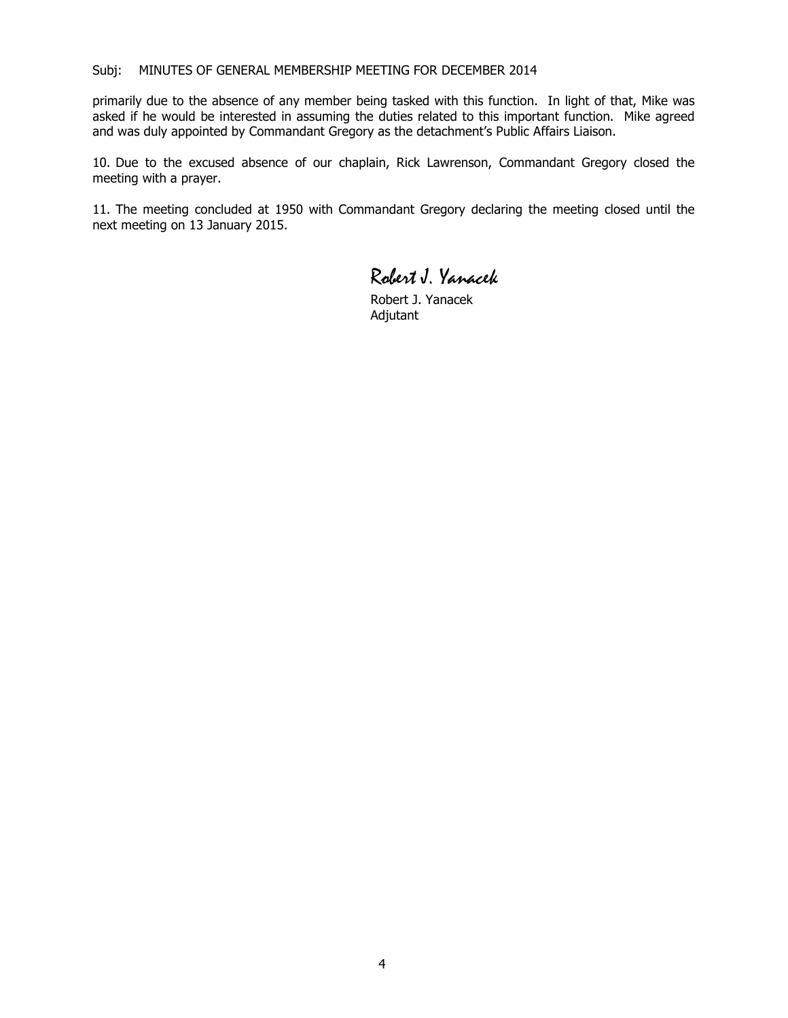#### Subj: MINUTES OF GENERAL MEMBERSHIP MEETING FOR DECEMBER 2014

primarily due to the absence of any member being tasked with this function. In light of that, Mike was asked if he would be interested in assuming the duties related to this important function. Mike agreed and was duly appointed by Commandant Gregory as the detachment's Public Affairs Liaison.

10. Due to the excused absence of our chaplain, Rick Lawrenson, Commandant Gregory closed the meeting with a prayer.

11. The meeting concluded at 1950 with Commandant Gregory declaring the meeting closed until the next meeting on 13 January 2015.

Robert J. Yanacek

 Robert J. Yanacek Adjutant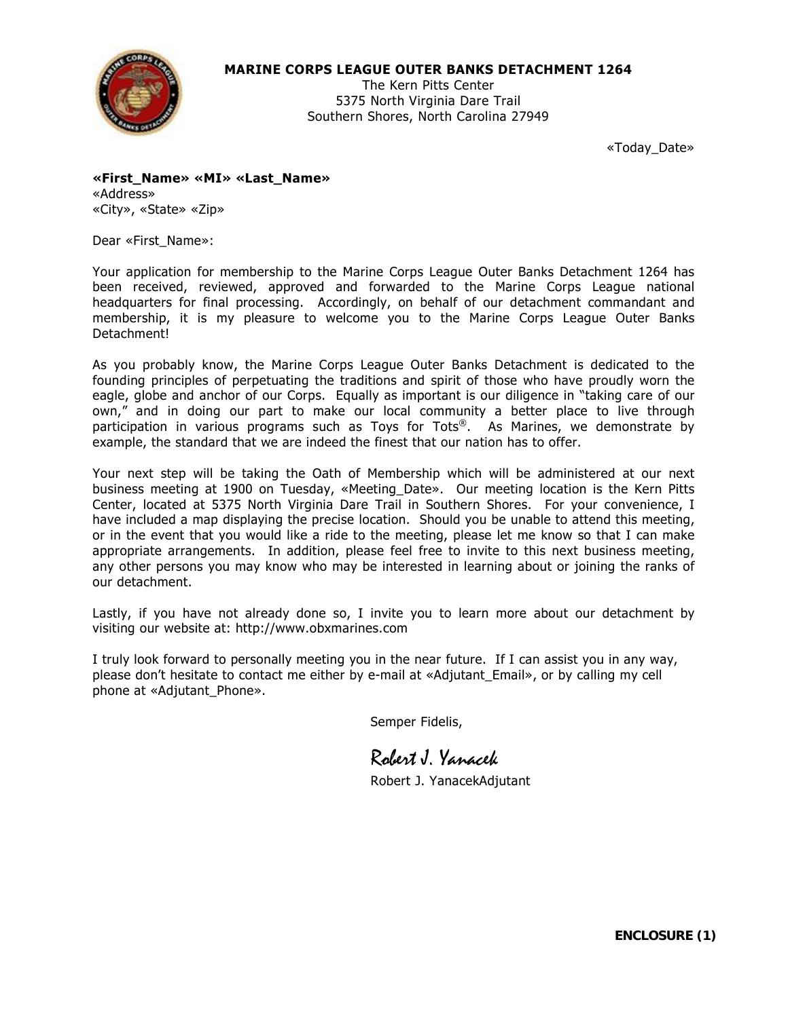

## **MARINE CORPS LEAGUE OUTER BANKS DETACHMENT 1264**

The Kern Pitts Center 5375 North Virginia Dare Trail Southern Shores, North Carolina 27949

«Today\_Date»

**«First\_Name» «MI» «Last\_Name»** «Address» «City», «State» «Zip»

Dear «First\_Name»:

Your application for membership to the Marine Corps League Outer Banks Detachment 1264 has been received, reviewed, approved and forwarded to the Marine Corps League national headquarters for final processing. Accordingly, on behalf of our detachment commandant and membership, it is my pleasure to welcome you to the Marine Corps League Outer Banks Detachment!

As you probably know, the Marine Corps League Outer Banks Detachment is dedicated to the founding principles of perpetuating the traditions and spirit of those who have proudly worn the eagle, globe and anchor of our Corps. Equally as important is our diligence in "taking care of our own," and in doing our part to make our local community a better place to live through participation in various programs such as Toys for Tots®. As Marines, we demonstrate by example, the standard that we are indeed the finest that our nation has to offer.

Your next step will be taking the Oath of Membership which will be administered at our next business meeting at 1900 on Tuesday, «Meeting\_Date». Our meeting location is the Kern Pitts Center, located at 5375 North Virginia Dare Trail in Southern Shores. For your convenience, I have included a map displaying the precise location. Should you be unable to attend this meeting, or in the event that you would like a ride to the meeting, please let me know so that I can make appropriate arrangements. In addition, please feel free to invite to this next business meeting, any other persons you may know who may be interested in learning about or joining the ranks of our detachment.

Lastly, if you have not already done so, I invite you to learn more about our detachment by visiting our website at: http://www.obxmarines.com

I truly look forward to personally meeting you in the near future. If I can assist you in any way, please don't hesitate to contact me either by e-mail at «Adjutant\_Email», or by calling my cell phone at «Adjutant\_Phone».

Semper Fidelis,

Robert J. Yanacek

Robert J. YanacekAdjutant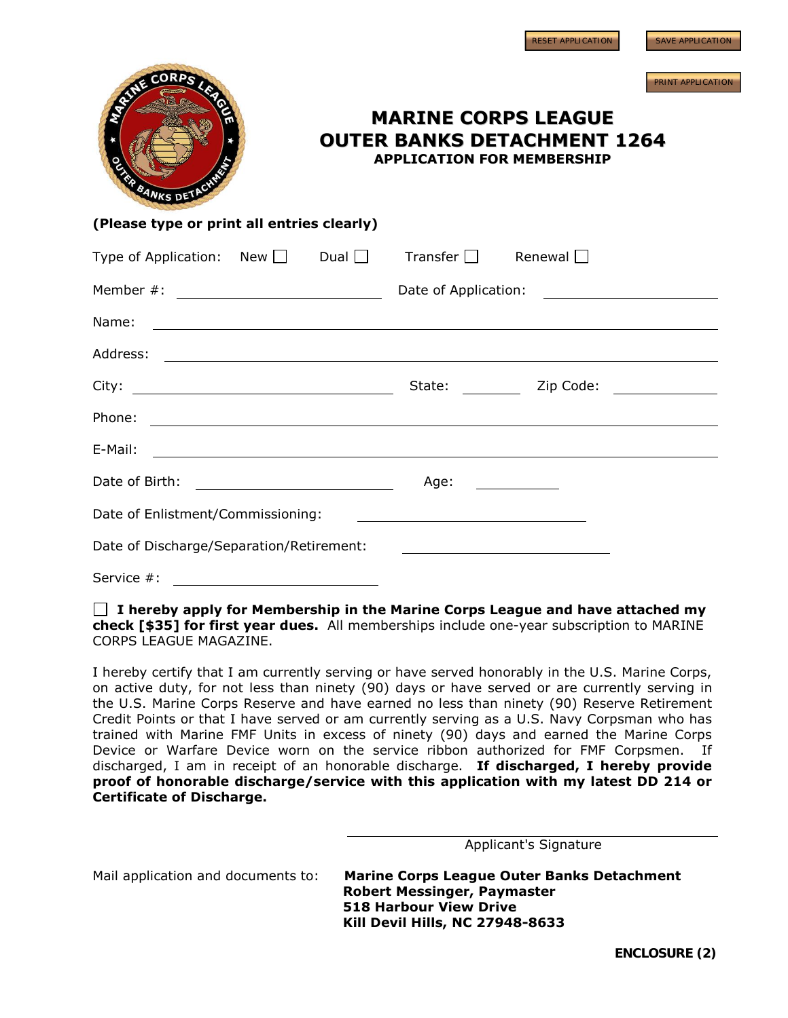| <b>CORPS</b><br><b>SANKS DE</b>                                            | <b>APPLICATION FOR MEMBERSHIP</b>                             | <b>PRINT APPLICATION</b><br><b>MARINE CORPS LEAGUE</b><br><b>OUTER BANKS DETACHMENT 1264</b>                          |  |
|----------------------------------------------------------------------------|---------------------------------------------------------------|-----------------------------------------------------------------------------------------------------------------------|--|
| (Please type or print all entries clearly)                                 |                                                               |                                                                                                                       |  |
| Type of Application: New $\Box$ Dual $\Box$ Transfer $\Box$ Renewal $\Box$ |                                                               |                                                                                                                       |  |
|                                                                            |                                                               |                                                                                                                       |  |
| Name:                                                                      |                                                               | <u> 1990 - John Harry Harry Harry Harry Harry Harry Harry Harry Harry Harry Harry Harry Harry Harry Harry Harry H</u> |  |
|                                                                            |                                                               |                                                                                                                       |  |
|                                                                            |                                                               |                                                                                                                       |  |
|                                                                            |                                                               |                                                                                                                       |  |
| E-Mail:                                                                    |                                                               | <u> Alexandro de la contrada de la contrada de la contrada de la contrada de la contrada de la contrada de la co</u>  |  |
| Date of Birth:                                                             | Age:                                                          |                                                                                                                       |  |
| Date of Enlistment/Commissioning:                                          | <u> 1989 - Johann Stein, mars an deutscher Stein († 1989)</u> |                                                                                                                       |  |
| Date of Discharge/Separation/Retirement:                                   |                                                               |                                                                                                                       |  |
| Service #:                                                                 |                                                               |                                                                                                                       |  |

**I hereby apply for Membership in the Marine Corps League and have attached my check [\$35] for first year dues.** All memberships include one-year subscription to MARINE CORPS LEAGUE MAGAZINE.

I hereby certify that I am currently serving or have served honorably in the U.S. Marine Corps, on active duty, for not less than ninety (90) days or have served or are currently serving in the U.S. Marine Corps Reserve and have earned no less than ninety (90) Reserve Retirement Credit Points or that I have served or am currently serving as a U.S. Navy Corpsman who has trained with Marine FMF Units in excess of ninety (90) days and earned the Marine Corps Device or Warfare Device worn on the service ribbon authorized for FMF Corpsmen. If discharged, I am in receipt of an honorable discharge. **If discharged, I hereby provide proof of honorable discharge/service with this application with my latest DD 214 or Certificate of Discharge.**

| Applicant's Signature |  |
|-----------------------|--|
|-----------------------|--|

Mail application and documents to:

**Marine Corps League Outer Banks Detachment Robert Messinger, Paymaster 518 Harbour View Drive Kill Devil Hills, NC 27948-8633**

 **ENCLOSURE (2)**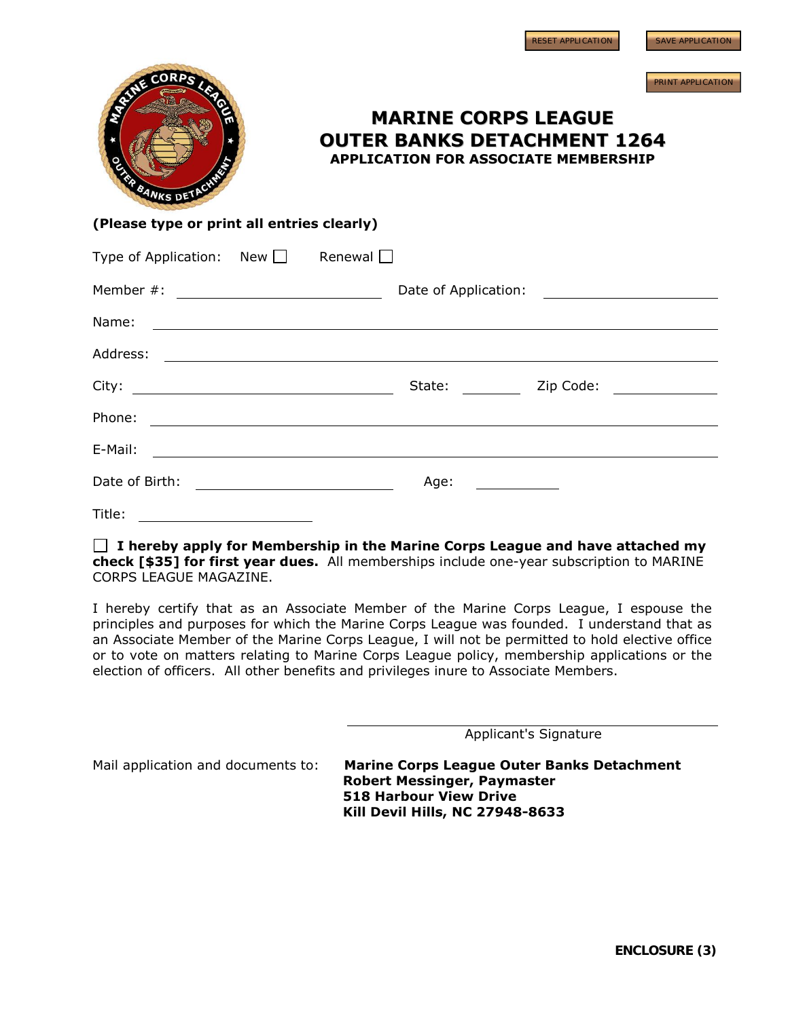

## **MARINE CORPS LEAGUE OUTER BANKS DETACHMENT 1264 APPLICATION FOR ASSOCIATE MEMBERSHIP**

## **(Please type or print all entries clearly)**

| Type of Application: New $\Box$                                                          | Renewal                                                                                                                                        |                                                     |
|------------------------------------------------------------------------------------------|------------------------------------------------------------------------------------------------------------------------------------------------|-----------------------------------------------------|
| Member #:                                                                                | Date of Application:<br><u> Alexandria (Carlo Carlo Carlo Carlo Carlo Carlo Carlo Carlo Carlo Carlo Carlo Carlo Carlo Carlo Carlo Carlo Ca</u> | <u> 1989 - Andrea State Barbara, política e a f</u> |
| Name:                                                                                    |                                                                                                                                                |                                                     |
| Address:                                                                                 |                                                                                                                                                |                                                     |
| City:<br>the contract of the contract of the contract of the contract of the contract of | Zip Code:<br>State:                                                                                                                            |                                                     |
| Phone:                                                                                   |                                                                                                                                                |                                                     |
| E-Mail:                                                                                  |                                                                                                                                                |                                                     |
| Date of Birth:                                                                           | Age:<br><u> 1980 - Jan Stein Stein Stein Stein Stein Stein Stein Stein Stein Stein Stein Stein Stein Stein Stein Stein S</u>                   |                                                     |
| Title:                                                                                   |                                                                                                                                                |                                                     |

### **I hereby apply for Membership in the Marine Corps League and have attached my check [\$35] for first year dues.** All memberships include one-year subscription to MARINE CORPS LEAGUE MAGAZINE.

I hereby certify that as an Associate Member of the Marine Corps League, I espouse the principles and purposes for which the Marine Corps League was founded. I understand that as an Associate Member of the Marine Corps League, I will not be permitted to hold elective office or to vote on matters relating to Marine Corps League policy, membership applications or the election of officers. All other benefits and privileges inure to Associate Members.

Applicant's Signature

Mail application and documents to:

**Marine Corps League Outer Banks Detachment Robert Messinger, Paymaster 518 Harbour View Drive Kill Devil Hills, NC 27948-8633**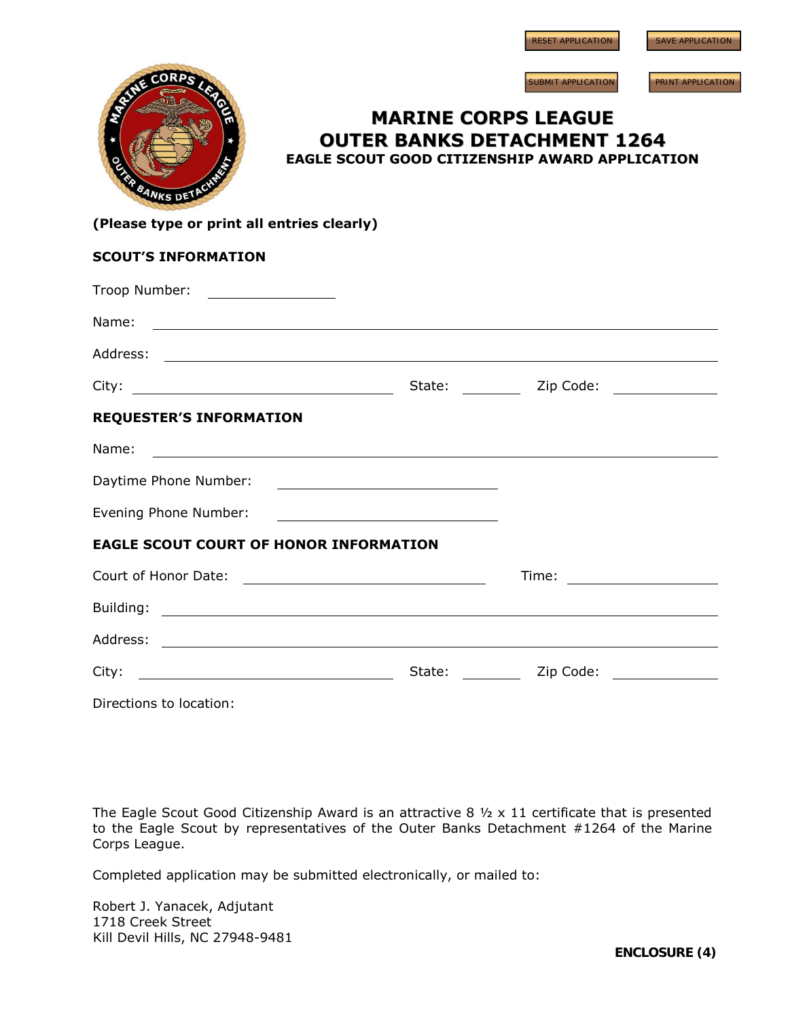| <b>RESET APPLICATION</b> |  |  |
|--------------------------|--|--|
|                          |  |  |
|                          |  |  |

SAVE APPLICATION



SUBMIT APPLICATION **PRINT APPLICATION** 

## **MARINE CORPS LEAGUE OUTER BANKS DETACHMENT 1264 EAGLE SCOUT GOOD CITIZENSHIP AWARD APPLICATION**

## **(Please type or print all entries clearly)**

| <b>SCOUT'S INFORMATION</b>                                   |        |                                                                                                                                                                                                                                |
|--------------------------------------------------------------|--------|--------------------------------------------------------------------------------------------------------------------------------------------------------------------------------------------------------------------------------|
| Troop Number: __________________                             |        |                                                                                                                                                                                                                                |
|                                                              |        |                                                                                                                                                                                                                                |
|                                                              |        |                                                                                                                                                                                                                                |
|                                                              |        | State: __________ Zip Code: ______________                                                                                                                                                                                     |
| <b>REQUESTER'S INFORMATION</b>                               |        |                                                                                                                                                                                                                                |
|                                                              |        |                                                                                                                                                                                                                                |
|                                                              |        |                                                                                                                                                                                                                                |
| Evening Phone Number: <u>_______________________________</u> |        |                                                                                                                                                                                                                                |
| <b>EAGLE SCOUT COURT OF HONOR INFORMATION</b>                |        |                                                                                                                                                                                                                                |
| Court of Honor Date: National Assemblance of Honor Date:     |        | Time: The contract of the contract of the contract of the contract of the contract of the contract of the contract of the contract of the contract of the contract of the contract of the contract of the contract of the cont |
|                                                              |        |                                                                                                                                                                                                                                |
|                                                              |        |                                                                                                                                                                                                                                |
|                                                              | State: | Zip Code: <u>_________________</u>                                                                                                                                                                                             |

Directions to location:

The Eagle Scout Good Citizenship Award is an attractive 8 ½ x 11 certificate that is presented to the Eagle Scout by representatives of the Outer Banks Detachment #1264 of the Marine Corps League.

Completed application may be submitted electronically, or mailed to:

Robert J. Yanacek, Adjutant 1718 Creek Street Kill Devil Hills, NC 27948-9481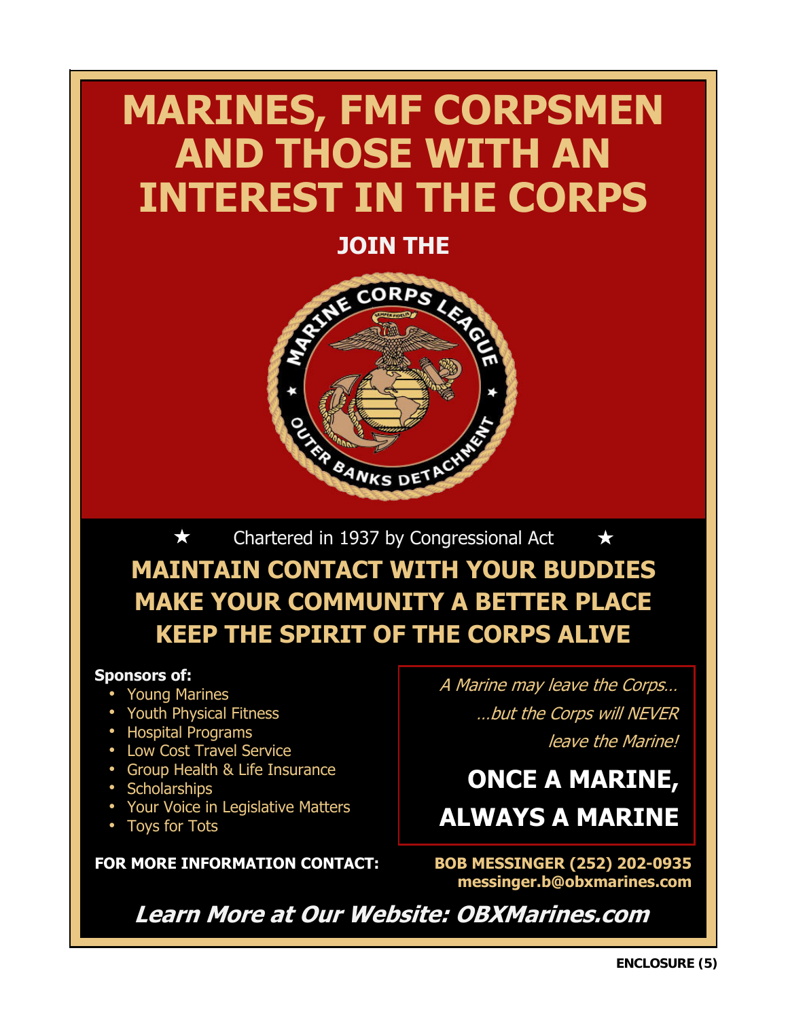# MARINES, FMF CORPSMEN AND THOSE WITH AN INTEREST IN THE CORPS



Chartered in 1937 by Congressional Act MAINTAIN CONTACT WITH YOUR BUDDIES MAKE YOUR COMMUNITY A BETTER PLACE KEEP THE SPIRIT OF THE CORPS ALIVE

## Sponsors of:

- Young Marines
- Youth Physical Fitness
- Hospital Programs
- Low Cost Travel Service
- Group Health & Life Insurance
- Scholarships
- Your Voice in Legislative Matters
- Toys for Tots

FOR MORE INFORMATION CONTACT: BOB MESSINGER (252) 202-0935

A Marine may leave the Corps… leave the Marine! …but the Corps will NEVER

## ONCE A MARINE, ALWAYS A MARINE

messinger.b@obxmarines.com

Learn More at Our Website: OBXMarines.com